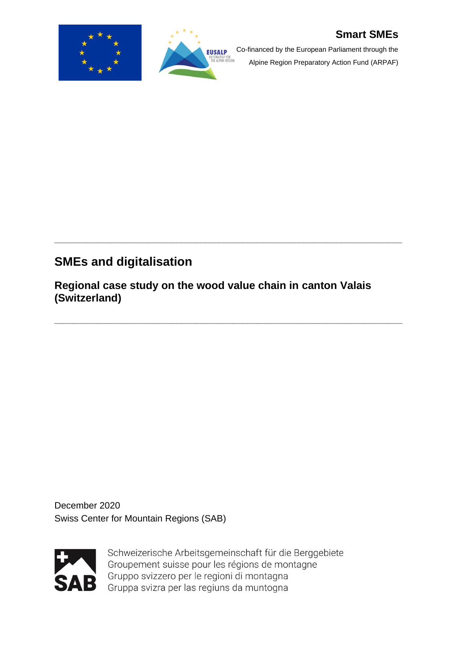



Co-financed by the European Parliament through the

Alpine Region Preparatory Action Fund (ARPAF)

# **SMEs and digitalisation**

**Regional case study on the wood value chain in canton Valais (Switzerland)**

**\_\_\_\_\_\_\_\_\_\_\_\_\_\_\_\_\_\_\_\_\_\_\_\_\_\_\_\_\_\_\_\_\_\_\_\_\_\_\_\_\_\_\_\_\_\_\_\_\_\_\_\_\_\_\_\_\_\_\_\_\_\_\_\_\_\_\_\_\_\_\_\_\_\_** 

**\_\_\_\_\_\_\_\_\_\_\_\_\_\_\_\_\_\_\_\_\_\_\_\_\_\_\_\_\_\_\_\_\_\_\_\_\_\_\_\_\_\_\_\_\_\_\_\_\_\_\_\_\_\_\_\_\_\_\_\_\_\_\_\_\_\_\_\_\_\_\_\_\_\_** 

December 2020 Swiss Center for Mountain Regions (SAB)



Schweizerische Arbeitsgemeinschaft für die Berggebiete Groupement suisse pour les régions de montagne Gruppo svizzero per le regioni di montagna Gruppa svizra per las regiuns da muntogna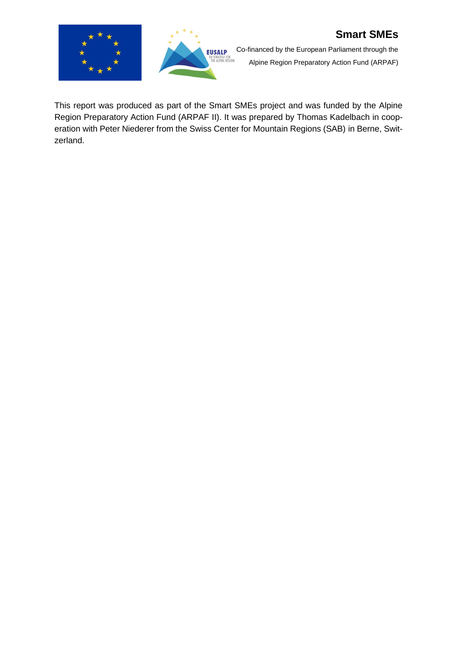



Co-financed by the European Parliament through the Alpine Region Preparatory Action Fund (ARPAF)

This report was produced as part of the Smart SMEs project and was funded by the Alpine Region Preparatory Action Fund (ARPAF II). It was prepared by Thomas Kadelbach in cooperation with Peter Niederer from the Swiss Center for Mountain Regions (SAB) in Berne, Switzerland.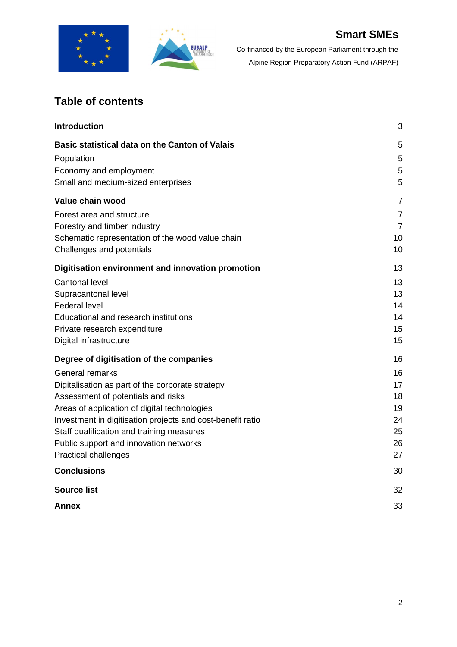



# **Table of contents**

| <b>Introduction</b>                                        | 3              |
|------------------------------------------------------------|----------------|
| Basic statistical data on the Canton of Valais             | 5              |
| Population                                                 | 5              |
| Economy and employment                                     | 5              |
| Small and medium-sized enterprises                         | 5              |
| Value chain wood                                           | $\overline{7}$ |
| Forest area and structure                                  | $\overline{7}$ |
| Forestry and timber industry                               | $\overline{7}$ |
| Schematic representation of the wood value chain           | 10             |
| Challenges and potentials                                  | 10             |
| Digitisation environment and innovation promotion          | 13             |
| <b>Cantonal level</b>                                      | 13             |
| Supracantonal level                                        | 13             |
| <b>Federal level</b>                                       | 14             |
| <b>Educational and research institutions</b>               | 14             |
| Private research expenditure                               | 15             |
| Digital infrastructure                                     | 15             |
| Degree of digitisation of the companies                    | 16             |
| General remarks                                            | 16             |
| Digitalisation as part of the corporate strategy           | 17             |
| Assessment of potentials and risks                         | 18             |
| Areas of application of digital technologies               | 19             |
| Investment in digitisation projects and cost-benefit ratio | 24             |
| Staff qualification and training measures                  | 25             |
| Public support and innovation networks                     | 26             |
| Practical challenges                                       | 27             |
| <b>Conclusions</b>                                         | 30             |
| <b>Source list</b>                                         | 32             |
| Annex                                                      | 33             |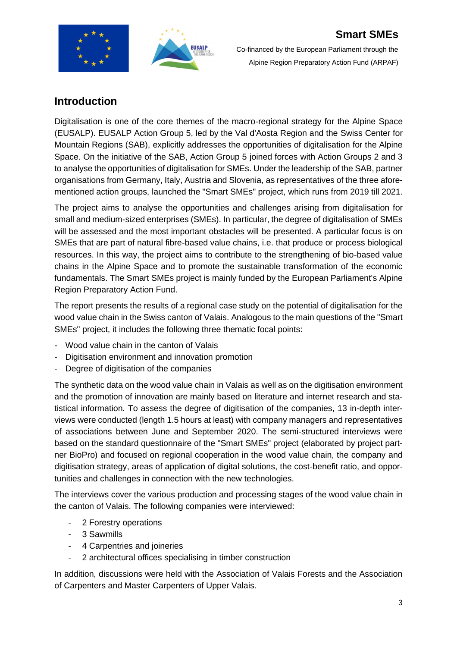



## **Introduction**

Digitalisation is one of the core themes of the macro-regional strategy for the Alpine Space (EUSALP). EUSALP Action Group 5, led by the Val d'Aosta Region and the Swiss Center for Mountain Regions (SAB), explicitly addresses the opportunities of digitalisation for the Alpine Space. On the initiative of the SAB, Action Group 5 joined forces with Action Groups 2 and 3 to analyse the opportunities of digitalisation for SMEs. Under the leadership of the SAB, partner organisations from Germany, Italy, Austria and Slovenia, as representatives of the three aforementioned action groups, launched the "Smart SMEs" project, which runs from 2019 till 2021.

The project aims to analyse the opportunities and challenges arising from digitalisation for small and medium-sized enterprises (SMEs). In particular, the degree of digitalisation of SMEs will be assessed and the most important obstacles will be presented. A particular focus is on SMEs that are part of natural fibre-based value chains, i.e. that produce or process biological resources. In this way, the project aims to contribute to the strengthening of bio-based value chains in the Alpine Space and to promote the sustainable transformation of the economic fundamentals. The Smart SMEs project is mainly funded by the European Parliament's Alpine Region Preparatory Action Fund.

The report presents the results of a regional case study on the potential of digitalisation for the wood value chain in the Swiss canton of Valais. Analogous to the main questions of the "Smart SMEs" project, it includes the following three thematic focal points:

- Wood value chain in the canton of Valais
- Digitisation environment and innovation promotion
- Degree of digitisation of the companies

The synthetic data on the wood value chain in Valais as well as on the digitisation environment and the promotion of innovation are mainly based on literature and internet research and statistical information. To assess the degree of digitisation of the companies, 13 in-depth interviews were conducted (length 1.5 hours at least) with company managers and representatives of associations between June and September 2020. The semi-structured interviews were based on the standard questionnaire of the "Smart SMEs" project (elaborated by project partner BioPro) and focused on regional cooperation in the wood value chain, the company and digitisation strategy, areas of application of digital solutions, the cost-benefit ratio, and opportunities and challenges in connection with the new technologies.

The interviews cover the various production and processing stages of the wood value chain in the canton of Valais. The following companies were interviewed:

- 2 Forestry operations
- 3 Sawmills
- 4 Carpentries and joineries
- 2 architectural offices specialising in timber construction

In addition, discussions were held with the Association of Valais Forests and the Association of Carpenters and Master Carpenters of Upper Valais.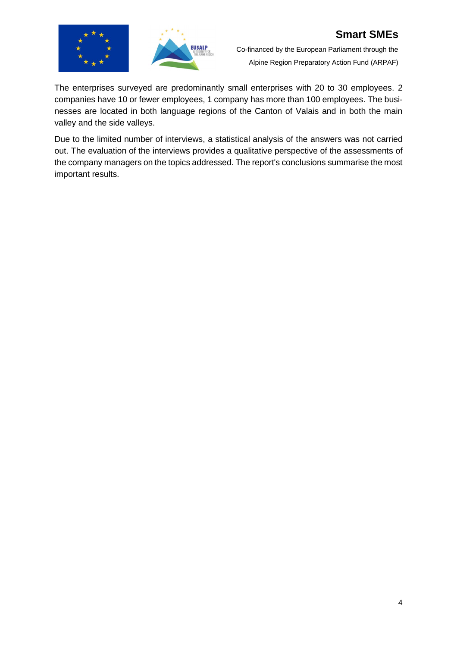



The enterprises surveyed are predominantly small enterprises with 20 to 30 employees. 2 companies have 10 or fewer employees, 1 company has more than 100 employees. The businesses are located in both language regions of the Canton of Valais and in both the main valley and the side valleys.

Due to the limited number of interviews, a statistical analysis of the answers was not carried out. The evaluation of the interviews provides a qualitative perspective of the assessments of the company managers on the topics addressed. The report's conclusions summarise the most important results.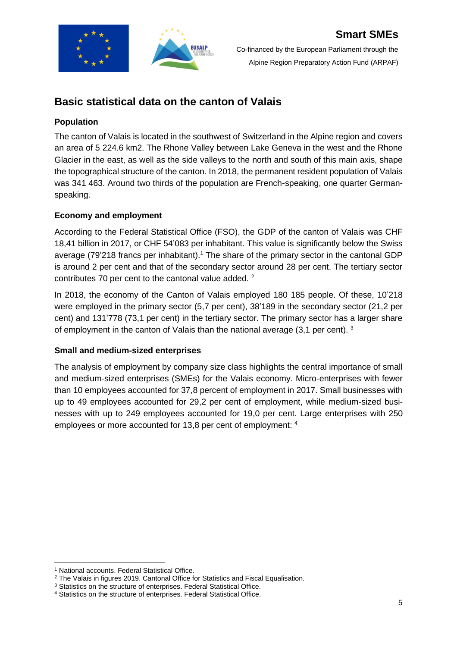

## **Basic statistical data on the canton of Valais**

#### **Population**

The canton of Valais is located in the southwest of Switzerland in the Alpine region and covers an area of 5 224.6 km2. The Rhone Valley between Lake Geneva in the west and the Rhone Glacier in the east, as well as the side valleys to the north and south of this main axis, shape the topographical structure of the canton. In 2018, the permanent resident population of Valais was 341 463. Around two thirds of the population are French-speaking, one quarter Germanspeaking.

#### **Economy and employment**

According to the Federal Statistical Office (FSO), the GDP of the canton of Valais was CHF 18,41 billion in 2017, or CHF 54'083 per inhabitant. This value is significantly below the Swiss average (79'218 francs per inhabitant).<sup>1</sup> The share of the primary sector in the cantonal GDP is around 2 per cent and that of the secondary sector around 28 per cent. The tertiary sector contributes 70 per cent to the cantonal value added. <sup>2</sup>

In 2018, the economy of the Canton of Valais employed 180 185 people. Of these, 10'218 were employed in the primary sector (5,7 per cent), 38'189 in the secondary sector (21,2 per cent) and 131'778 (73,1 per cent) in the tertiary sector. The primary sector has a larger share of employment in the canton of Valais than the national average  $(3,1)$  per cent). 3

#### **Small and medium-sized enterprises**

The analysis of employment by company size class highlights the central importance of small and medium-sized enterprises (SMEs) for the Valais economy. Micro-enterprises with fewer than 10 employees accounted for 37,8 percent of employment in 2017. Small businesses with up to 49 employees accounted for 29,2 per cent of employment, while medium-sized businesses with up to 249 employees accounted for 19,0 per cent. Large enterprises with 250 employees or more accounted for 13,8 per cent of employment: <sup>4</sup>

<sup>&</sup>lt;sup>1</sup> National accounts. Federal Statistical Office.

<sup>&</sup>lt;sup>2</sup> The Valais in figures 2019. Cantonal Office for Statistics and Fiscal Equalisation.

<sup>&</sup>lt;sup>3</sup> Statistics on the structure of enterprises. Federal Statistical Office.

<sup>4</sup> Statistics on the structure of enterprises. Federal Statistical Office.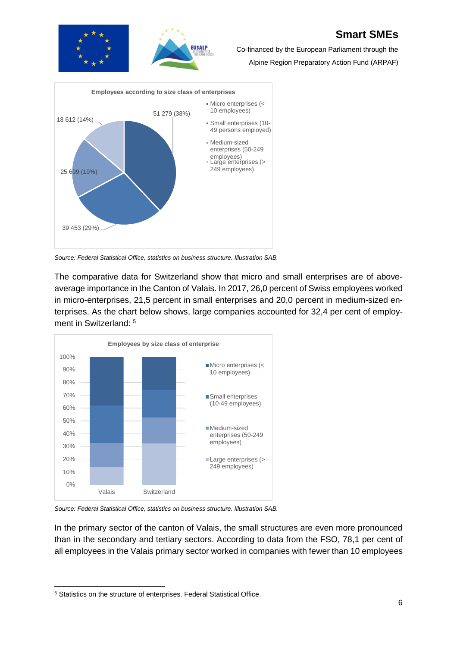

Co-financed by the European Parliament through the

Alpine Region Preparatory Action Fund (ARPAF)



*Source: Federal Statistical Office, statistics on business structure. Illustration SAB.*

The comparative data for Switzerland show that micro and small enterprises are of aboveaverage importance in the Canton of Valais. In 2017, 26,0 percent of Swiss employees worked in micro-enterprises, 21,5 percent in small enterprises and 20,0 percent in medium-sized enterprises. As the chart below shows, large companies accounted for 32,4 per cent of employment in Switzerland: 5



*Source: Federal Statistical Office, statistics on business structure. Illustration SAB.*

In the primary sector of the canton of Valais, the small structures are even more pronounced than in the secondary and tertiary sectors. According to data from the FSO, 78,1 per cent of all employees in the Valais primary sector worked in companies with fewer than 10 employees

<sup>5</sup> Statistics on the structure of enterprises. Federal Statistical Office.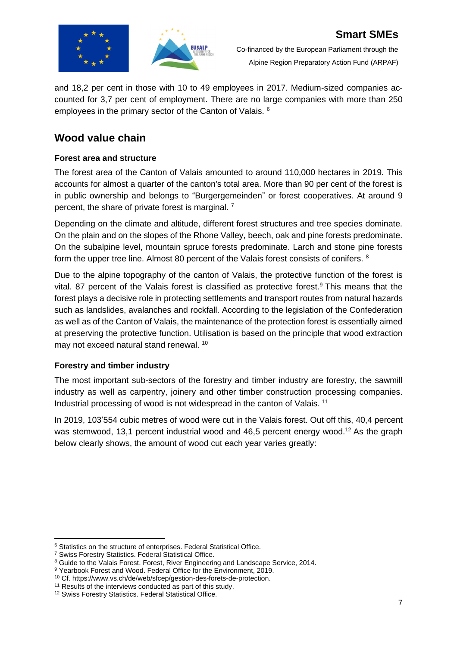

and 18,2 per cent in those with 10 to 49 employees in 2017. Medium-sized companies accounted for 3,7 per cent of employment. There are no large companies with more than 250 employees in the primary sector of the Canton of Valais. <sup>6</sup>

## **Wood value chain**

## **Forest area and structure**

The forest area of the Canton of Valais amounted to around 110,000 hectares in 2019. This accounts for almost a quarter of the canton's total area. More than 90 per cent of the forest is in public ownership and belongs to "Burgergemeinden" or forest cooperatives. At around 9 percent, the share of private forest is marginal. <sup>7</sup>

Depending on the climate and altitude, different forest structures and tree species dominate. On the plain and on the slopes of the Rhone Valley, beech, oak and pine forests predominate. On the subalpine level, mountain spruce forests predominate. Larch and stone pine forests form the upper tree line. Almost 80 percent of the Valais forest consists of conifers. <sup>8</sup>

Due to the alpine topography of the canton of Valais, the protective function of the forest is vital. 87 percent of the Valais forest is classified as protective forest.<sup>9</sup> This means that the forest plays a decisive role in protecting settlements and transport routes from natural hazards such as landslides, avalanches and rockfall. According to the legislation of the Confederation as well as of the Canton of Valais, the maintenance of the protection forest is essentially aimed at preserving the protective function. Utilisation is based on the principle that wood extraction may not exceed natural stand renewal. <sup>10</sup>

## **Forestry and timber industry**

The most important sub-sectors of the forestry and timber industry are forestry, the sawmill industry as well as carpentry, joinery and other timber construction processing companies. Industrial processing of wood is not widespread in the canton of Valais.<sup>11</sup>

In 2019, 103'554 cubic metres of wood were cut in the Valais forest. Out off this, 40,4 percent was stemwood, 13,1 percent industrial wood and 46,5 percent energy wood.<sup>12</sup> As the graph below clearly shows, the amount of wood cut each year varies greatly:

<sup>&</sup>lt;sup>6</sup> Statistics on the structure of enterprises. Federal Statistical Office.

<sup>7</sup> Swiss Forestry Statistics. Federal Statistical Office.

<sup>&</sup>lt;sup>8</sup> Guide to the Valais Forest. Forest, River Engineering and Landscape Service, 2014.

<sup>&</sup>lt;sup>9</sup> Yearbook Forest and Wood. Federal Office for the Environment, 2019.

<sup>10</sup> Cf. https://www.vs.ch/de/web/sfcep/gestion-des-forets-de-protection.

<sup>&</sup>lt;sup>11</sup> Results of the interviews conducted as part of this study.

<sup>12</sup> Swiss Forestry Statistics. Federal Statistical Office.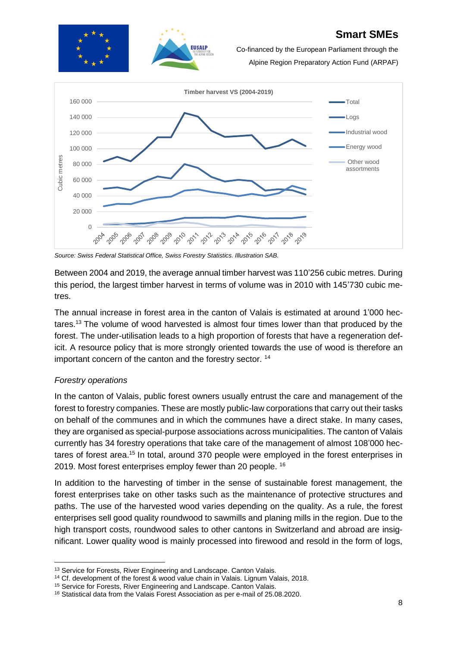

Co-financed by the European Parliament through the

Alpine Region Preparatory Action Fund (ARPAF)



*Source: Swiss Federal Statistical Office, Swiss Forestry Statistics. Illustration SAB.*

Between 2004 and 2019, the average annual timber harvest was 110'256 cubic metres. During this period, the largest timber harvest in terms of volume was in 2010 with 145'730 cubic metres.

The annual increase in forest area in the canton of Valais is estimated at around 1'000 hectares.<sup>13</sup> The volume of wood harvested is almost four times lower than that produced by the forest. The under-utilisation leads to a high proportion of forests that have a regeneration deficit. A resource policy that is more strongly oriented towards the use of wood is therefore an important concern of the canton and the forestry sector. <sup>14</sup>

## *Forestry operations*

In the canton of Valais, public forest owners usually entrust the care and management of the forest to forestry companies. These are mostly public-law corporations that carry out their tasks on behalf of the communes and in which the communes have a direct stake. In many cases, they are organised as special-purpose associations across municipalities. The canton of Valais currently has 34 forestry operations that take care of the management of almost 108'000 hectares of forest area.<sup>15</sup> In total, around 370 people were employed in the forest enterprises in 2019. Most forest enterprises employ fewer than 20 people. <sup>16</sup>

In addition to the harvesting of timber in the sense of sustainable forest management, the forest enterprises take on other tasks such as the maintenance of protective structures and paths. The use of the harvested wood varies depending on the quality. As a rule, the forest enterprises sell good quality roundwood to sawmills and planing mills in the region. Due to the high transport costs, roundwood sales to other cantons in Switzerland and abroad are insignificant. Lower quality wood is mainly processed into firewood and resold in the form of logs,

<sup>&</sup>lt;sup>13</sup> Service for Forests, River Engineering and Landscape. Canton Valais.

<sup>&</sup>lt;sup>14</sup> Cf. development of the forest & wood value chain in Valais. Lignum Valais, 2018.

<sup>&</sup>lt;sup>15</sup> Service for Forests, River Engineering and Landscape. Canton Valais.

<sup>16</sup> Statistical data from the Valais Forest Association as per e-mail of 25.08.2020.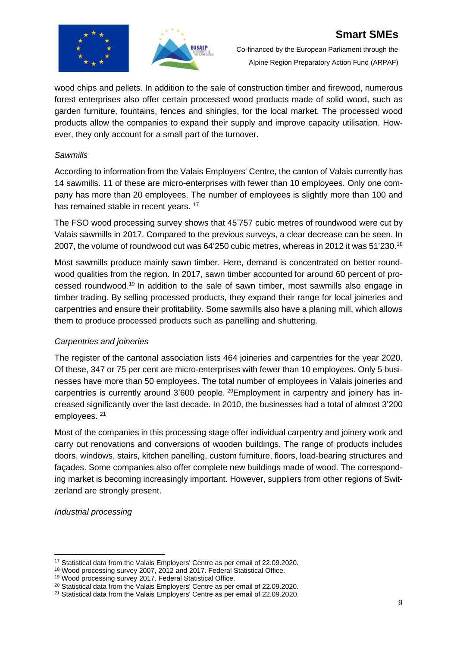



wood chips and pellets. In addition to the sale of construction timber and firewood, numerous forest enterprises also offer certain processed wood products made of solid wood, such as garden furniture, fountains, fences and shingles, for the local market. The processed wood products allow the companies to expand their supply and improve capacity utilisation. However, they only account for a small part of the turnover.

#### *Sawmills*

According to information from the Valais Employers' Centre, the canton of Valais currently has 14 sawmills. 11 of these are micro-enterprises with fewer than 10 employees. Only one company has more than 20 employees. The number of employees is slightly more than 100 and has remained stable in recent years.<sup>17</sup>

The FSO wood processing survey shows that 45'757 cubic metres of roundwood were cut by Valais sawmills in 2017. Compared to the previous surveys, a clear decrease can be seen. In 2007, the volume of roundwood cut was 64'250 cubic metres, whereas in 2012 it was 51'230. 18

Most sawmills produce mainly sawn timber. Here, demand is concentrated on better roundwood qualities from the region. In 2017, sawn timber accounted for around 60 percent of processed roundwood.<sup>19</sup> In addition to the sale of sawn timber, most sawmills also engage in timber trading. By selling processed products, they expand their range for local joineries and carpentries and ensure their profitability. Some sawmills also have a planing mill, which allows them to produce processed products such as panelling and shuttering.

## *Carpentries and joineries*

The register of the cantonal association lists 464 joineries and carpentries for the year 2020. Of these, 347 or 75 per cent are micro-enterprises with fewer than 10 employees. Only 5 businesses have more than 50 employees. The total number of employees in Valais joineries and carpentries is currently around 3'600 people. <sup>20</sup>Employment in carpentry and joinery has increased significantly over the last decade. In 2010, the businesses had a total of almost 3'200 employees. <sup>21</sup>

Most of the companies in this processing stage offer individual carpentry and joinery work and carry out renovations and conversions of wooden buildings. The range of products includes doors, windows, stairs, kitchen panelling, custom furniture, floors, load-bearing structures and façades. Some companies also offer complete new buildings made of wood. The corresponding market is becoming increasingly important. However, suppliers from other regions of Switzerland are strongly present.

*Industrial processing*

<sup>17</sup> Statistical data from the Valais Employers' Centre as per email of 22.09.2020.

<sup>18</sup> Wood processing survey 2007, 2012 and 2017. Federal Statistical Office.

<sup>19</sup> Wood processing survey 2017. Federal Statistical Office.

<sup>&</sup>lt;sup>20</sup> Statistical data from the Valais Employers' Centre as per email of 22.09.2020.

<sup>&</sup>lt;sup>21</sup> Statistical data from the Valais Employers' Centre as per email of 22.09.2020.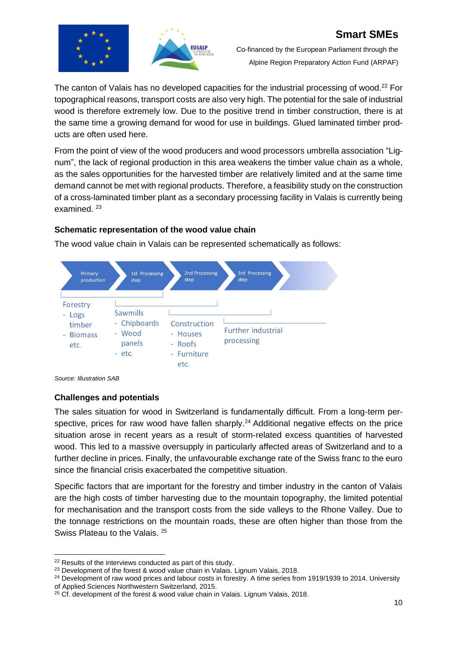



The canton of Valais has no developed capacities for the industrial processing of wood.<sup>22</sup> For topographical reasons, transport costs are also very high. The potential for the sale of industrial wood is therefore extremely low. Due to the positive trend in timber construction, there is at the same time a growing demand for wood for use in buildings. Glued laminated timber products are often used here.

From the point of view of the wood producers and wood processors umbrella association "Lignum", the lack of regional production in this area weakens the timber value chain as a whole, as the sales opportunities for the harvested timber are relatively limited and at the same time demand cannot be met with regional products. Therefore, a feasibility study on the construction of a cross-laminated timber plant as a secondary processing facility in Valais is currently being examined.<sup>23</sup>

## **Schematic representation of the wood value chain**

The wood value chain in Valais can be represented schematically as follows:





## **Challenges and potentials**

The sales situation for wood in Switzerland is fundamentally difficult. From a long-term perspective, prices for raw wood have fallen sharply.<sup>24</sup> Additional negative effects on the price situation arose in recent years as a result of storm-related excess quantities of harvested wood. This led to a massive oversupply in particularly affected areas of Switzerland and to a further decline in prices. Finally, the unfavourable exchange rate of the Swiss franc to the euro since the financial crisis exacerbated the competitive situation.

Specific factors that are important for the forestry and timber industry in the canton of Valais are the high costs of timber harvesting due to the mountain topography, the limited potential for mechanisation and the transport costs from the side valleys to the Rhone Valley. Due to the tonnage restrictions on the mountain roads, these are often higher than those from the Swiss Plateau to the Valais. <sup>25</sup>

<sup>&</sup>lt;sup>22</sup> Results of the interviews conducted as part of this study.

<sup>&</sup>lt;sup>23</sup> Development of the forest & wood value chain in Valais. Lignum Valais, 2018.

 $24$  Development of raw wood prices and labour costs in forestry. A time series from 1919/1939 to 2014. University of Applied Sciences Northwestern Switzerland, 2015.

<sup>&</sup>lt;sup>25</sup> Cf. development of the forest & wood value chain in Valais. Lignum Valais, 2018.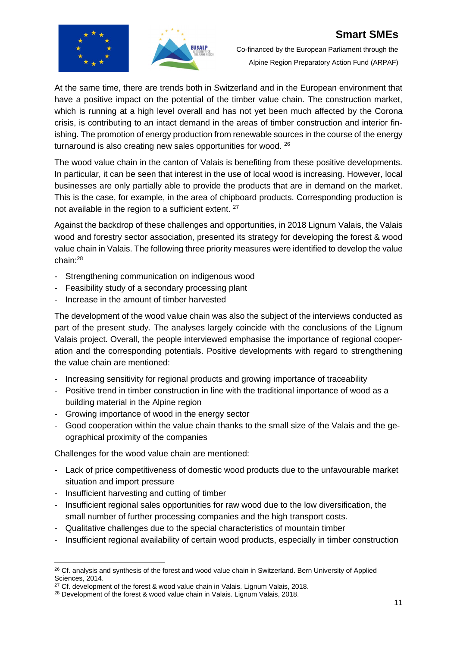



Co-financed by the European Parliament through the Alpine Region Preparatory Action Fund (ARPAF)

At the same time, there are trends both in Switzerland and in the European environment that have a positive impact on the potential of the timber value chain. The construction market, which is running at a high level overall and has not yet been much affected by the Corona crisis, is contributing to an intact demand in the areas of timber construction and interior finishing. The promotion of energy production from renewable sources in the course of the energy turnaround is also creating new sales opportunities for wood. <sup>26</sup>

The wood value chain in the canton of Valais is benefiting from these positive developments. In particular, it can be seen that interest in the use of local wood is increasing. However, local businesses are only partially able to provide the products that are in demand on the market. This is the case, for example, in the area of chipboard products. Corresponding production is not available in the region to a sufficient extent. <sup>27</sup>

Against the backdrop of these challenges and opportunities, in 2018 Lignum Valais, the Valais wood and forestry sector association, presented its strategy for developing the forest & wood value chain in Valais. The following three priority measures were identified to develop the value chain:<sup>28</sup>

- Strengthening communication on indigenous wood
- Feasibility study of a secondary processing plant
- Increase in the amount of timber harvested

The development of the wood value chain was also the subject of the interviews conducted as part of the present study. The analyses largely coincide with the conclusions of the Lignum Valais project. Overall, the people interviewed emphasise the importance of regional cooperation and the corresponding potentials. Positive developments with regard to strengthening the value chain are mentioned:

- Increasing sensitivity for regional products and growing importance of traceability
- Positive trend in timber construction in line with the traditional importance of wood as a building material in the Alpine region
- Growing importance of wood in the energy sector
- Good cooperation within the value chain thanks to the small size of the Valais and the geographical proximity of the companies

Challenges for the wood value chain are mentioned:

- Lack of price competitiveness of domestic wood products due to the unfavourable market situation and import pressure
- Insufficient harvesting and cutting of timber
- Insufficient regional sales opportunities for raw wood due to the low diversification, the small number of further processing companies and the high transport costs.
- Qualitative challenges due to the special characteristics of mountain timber
- Insufficient regional availability of certain wood products, especially in timber construction

<sup>&</sup>lt;sup>26</sup> Cf. analysis and synthesis of the forest and wood value chain in Switzerland. Bern University of Applied Sciences, 2014.

<sup>&</sup>lt;sup>27</sup> Cf. development of the forest & wood value chain in Valais. Lignum Valais, 2018.

<sup>&</sup>lt;sup>28</sup> Development of the forest & wood value chain in Valais. Lignum Valais, 2018.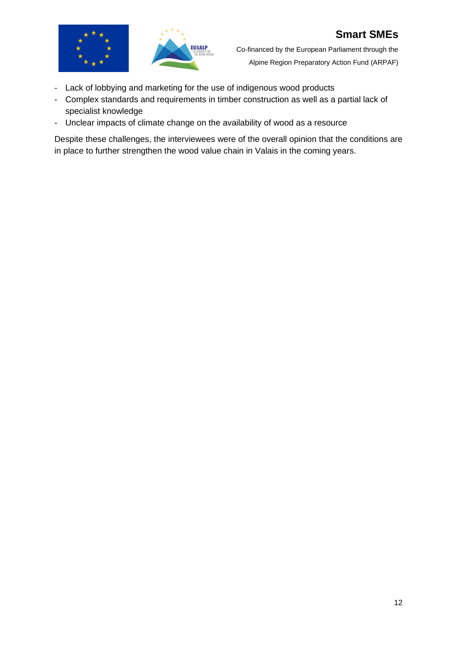

- Lack of lobbying and marketing for the use of indigenous wood products
- Complex standards and requirements in timber construction as well as a partial lack of specialist knowledge
- Unclear impacts of climate change on the availability of wood as a resource

Despite these challenges, the interviewees were of the overall opinion that the conditions are in place to further strengthen the wood value chain in Valais in the coming years.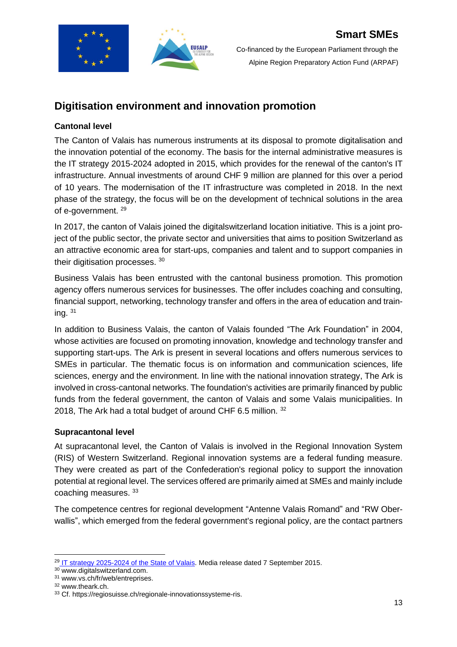

## **Digitisation environment and innovation promotion**

## **Cantonal level**

The Canton of Valais has numerous instruments at its disposal to promote digitalisation and the innovation potential of the economy. The basis for the internal administrative measures is the IT strategy 2015-2024 adopted in 2015, which provides for the renewal of the canton's IT infrastructure. Annual investments of around CHF 9 million are planned for this over a period of 10 years. The modernisation of the IT infrastructure was completed in 2018. In the next phase of the strategy, the focus will be on the development of technical solutions in the area of e-government. <sup>29</sup>

In 2017, the canton of Valais joined the digitalswitzerland location initiative. This is a joint project of the public sector, the private sector and universities that aims to position Switzerland as an attractive economic area for start-ups, companies and talent and to support companies in their digitisation processes. <sup>30</sup>

Business Valais has been entrusted with the cantonal business promotion. This promotion agency offers numerous services for businesses. The offer includes coaching and consulting, financial support, networking, technology transfer and offers in the area of education and training.  $31$ 

In addition to Business Valais, the canton of Valais founded "The Ark Foundation" in 2004, whose activities are focused on promoting innovation, knowledge and technology transfer and supporting start-ups. The Ark is present in several locations and offers numerous services to SMEs in particular. The thematic focus is on information and communication sciences, life sciences, energy and the environment. In line with the national innovation strategy, The Ark is involved in cross-cantonal networks. The foundation's activities are primarily financed by public funds from the federal government, the canton of Valais and some Valais municipalities. In 2018, The Ark had a total budget of around CHF 6.5 million. 32

#### **Supracantonal level**

At supracantonal level, the Canton of Valais is involved in the Regional Innovation System (RIS) of Western Switzerland. Regional innovation systems are a federal funding measure. They were created as part of the Confederation's regional policy to support the innovation potential at regional level. The services offered are primarily aimed at SMEs and mainly include coaching measures. <sup>33</sup>

The competence centres for regional development "Antenne Valais Romand" and "RW Oberwallis", which emerged from the federal government's regional policy, are the contact partners

<sup>&</sup>lt;sup>29</sup> [IT strategy 2025-2024 of the State of Valais.](https://www.vs.ch/documents/529400/1345477/com_de.pdf/1baa9d6a-3c1b-441d-a27e-91115077e1f0) Media release dated 7 September 2015.

<sup>30</sup> www.digitalswitzerland.com.

<sup>31</sup> www.vs.ch/fr/web/entreprises.

<sup>32</sup> www.theark.ch.

<sup>33</sup> Cf. https://regiosuisse.ch/regionale-innovationssysteme-ris.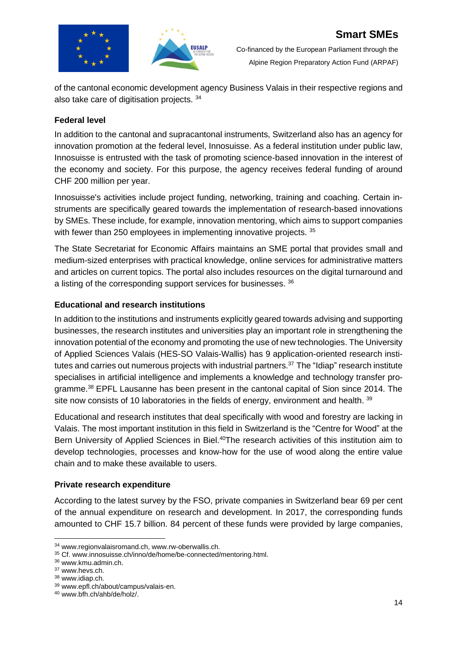

of the cantonal economic development agency Business Valais in their respective regions and also take care of digitisation projects. <sup>34</sup>

**EUSALP** 

#### **Federal level**

In addition to the cantonal and supracantonal instruments, Switzerland also has an agency for innovation promotion at the federal level, Innosuisse. As a federal institution under public law, Innosuisse is entrusted with the task of promoting science-based innovation in the interest of the economy and society. For this purpose, the agency receives federal funding of around CHF 200 million per year.

Innosuisse's activities include project funding, networking, training and coaching. Certain instruments are specifically geared towards the implementation of research-based innovations by SMEs. These include, for example, innovation mentoring, which aims to support companies with fewer than 250 employees in implementing innovative projects. 35

The State Secretariat for Economic Affairs maintains an SME portal that provides small and medium-sized enterprises with practical knowledge, online services for administrative matters and articles on current topics. The portal also includes resources on the digital turnaround and a listing of the corresponding support services for businesses. <sup>36</sup>

#### **Educational and research institutions**

In addition to the institutions and instruments explicitly geared towards advising and supporting businesses, the research institutes and universities play an important role in strengthening the innovation potential of the economy and promoting the use of new technologies. The University of Applied Sciences Valais (HES-SO Valais-Wallis) has 9 application-oriented research institutes and carries out numerous projects with industrial partners.<sup>37</sup> The "Idiap" research institute specialises in artificial intelligence and implements a knowledge and technology transfer programme.<sup>38</sup> EPFL Lausanne has been present in the cantonal capital of Sion since 2014. The site now consists of 10 laboratories in the fields of energy, environment and health. 39

Educational and research institutes that deal specifically with wood and forestry are lacking in Valais. The most important institution in this field in Switzerland is the "Centre for Wood" at the Bern University of Applied Sciences in Biel.<sup>40</sup>The research activities of this institution aim to develop technologies, processes and know-how for the use of wood along the entire value chain and to make these available to users.

#### **Private research expenditure**

According to the latest survey by the FSO, private companies in Switzerland bear 69 per cent of the annual expenditure on research and development. In 2017, the corresponding funds amounted to CHF 15.7 billion. 84 percent of these funds were provided by large companies,

<sup>34</sup> www.regionvalaisromand.ch, www.rw-oberwallis.ch.

<sup>35</sup> Cf. www.innosuisse.ch/inno/de/home/be-connected/mentoring.html.

<sup>36</sup> www.kmu.admin.ch.

<sup>37</sup> www.hevs.ch.

<sup>38</sup> www.idiap.ch.

<sup>39</sup> www.epfl.ch/about/campus/valais-en.

<sup>40</sup> www.bfh.ch/ahb/de/holz/.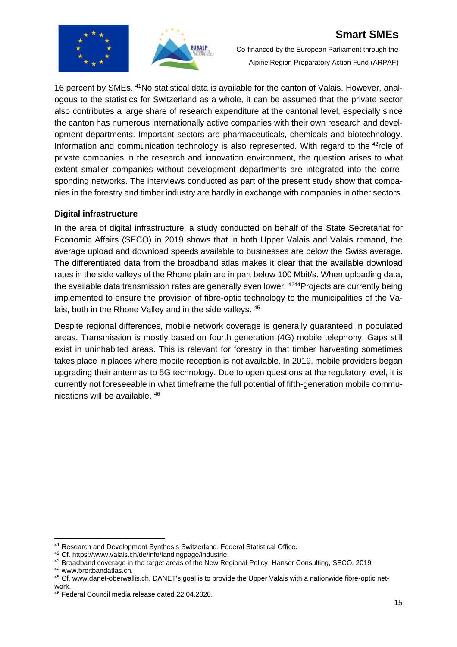

Co-financed by the European Parliament through the Alpine Region Preparatory Action Fund (ARPAF)

16 percent by SMEs. 41No statistical data is available for the canton of Valais. However, analogous to the statistics for Switzerland as a whole, it can be assumed that the private sector also contributes a large share of research expenditure at the cantonal level, especially since the canton has numerous internationally active companies with their own research and development departments. Important sectors are pharmaceuticals, chemicals and biotechnology. Information and communication technology is also represented. With regard to the <sup>42</sup>role of private companies in the research and innovation environment, the question arises to what extent smaller companies without development departments are integrated into the corresponding networks. The interviews conducted as part of the present study show that companies in the forestry and timber industry are hardly in exchange with companies in other sectors.

## **Digital infrastructure**

In the area of digital infrastructure, a study conducted on behalf of the State Secretariat for Economic Affairs (SECO) in 2019 shows that in both Upper Valais and Valais romand, the average upload and download speeds available to businesses are below the Swiss average. The differentiated data from the broadband atlas makes it clear that the available download rates in the side valleys of the Rhone plain are in part below 100 Mbit/s. When uploading data, the available data transmission rates are generally even lower. 4344 Projects are currently being implemented to ensure the provision of fibre-optic technology to the municipalities of the Valais, both in the Rhone Valley and in the side valleys. <sup>45</sup>

Despite regional differences, mobile network coverage is generally guaranteed in populated areas. Transmission is mostly based on fourth generation (4G) mobile telephony. Gaps still exist in uninhabited areas. This is relevant for forestry in that timber harvesting sometimes takes place in places where mobile reception is not available. In 2019, mobile providers began upgrading their antennas to 5G technology. Due to open questions at the regulatory level, it is currently not foreseeable in what timeframe the full potential of fifth-generation mobile communications will be available. 46

<sup>44</sup> www.breitbandatlas.ch.

<sup>41</sup> Research and Development Synthesis Switzerland. Federal Statistical Office.

<sup>42</sup> Cf. https://www.valais.ch/de/info/landingpage/industrie.

<sup>43</sup> Broadband coverage in the target areas of the New Regional Policy. Hanser Consulting, SECO, 2019.

<sup>45</sup> Cf. www.danet-oberwallis.ch. DANET's goal is to provide the Upper Valais with a nationwide fibre-optic network.

<sup>46</sup> Federal Council media release dated 22.04.2020.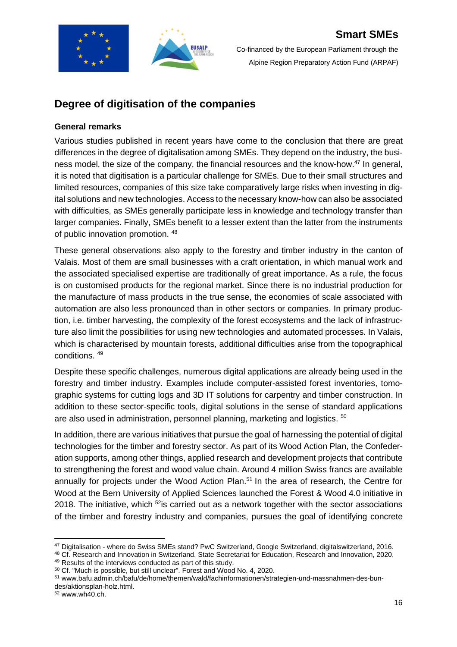

## **Degree of digitisation of the companies**

## **General remarks**

Various studies published in recent years have come to the conclusion that there are great differences in the degree of digitalisation among SMEs. They depend on the industry, the business model, the size of the company, the financial resources and the know-how.<sup>47</sup> In general, it is noted that digitisation is a particular challenge for SMEs. Due to their small structures and limited resources, companies of this size take comparatively large risks when investing in digital solutions and new technologies. Access to the necessary know-how can also be associated with difficulties, as SMEs generally participate less in knowledge and technology transfer than larger companies. Finally, SMEs benefit to a lesser extent than the latter from the instruments of public innovation promotion. <sup>48</sup>

These general observations also apply to the forestry and timber industry in the canton of Valais. Most of them are small businesses with a craft orientation, in which manual work and the associated specialised expertise are traditionally of great importance. As a rule, the focus is on customised products for the regional market. Since there is no industrial production for the manufacture of mass products in the true sense, the economies of scale associated with automation are also less pronounced than in other sectors or companies. In primary production, i.e. timber harvesting, the complexity of the forest ecosystems and the lack of infrastructure also limit the possibilities for using new technologies and automated processes. In Valais, which is characterised by mountain forests, additional difficulties arise from the topographical conditions. <sup>49</sup>

Despite these specific challenges, numerous digital applications are already being used in the forestry and timber industry. Examples include computer-assisted forest inventories, tomographic systems for cutting logs and 3D IT solutions for carpentry and timber construction. In addition to these sector-specific tools, digital solutions in the sense of standard applications are also used in administration, personnel planning, marketing and logistics. <sup>50</sup>

In addition, there are various initiatives that pursue the goal of harnessing the potential of digital technologies for the timber and forestry sector. As part of its Wood Action Plan, the Confederation supports, among other things, applied research and development projects that contribute to strengthening the forest and wood value chain. Around 4 million Swiss francs are available annually for projects under the Wood Action Plan.<sup>51</sup> In the area of research, the Centre for Wood at the Bern University of Applied Sciences launched the Forest & Wood 4.0 initiative in 2018. The initiative, which  $52$  is carried out as a network together with the sector associations of the timber and forestry industry and companies, pursues the goal of identifying concrete

<sup>48</sup> Cf. Research and Innovation in Switzerland. State Secretariat for Education, Research and Innovation, 2020.

49 Results of the interviews conducted as part of this study.

<sup>52</sup> www.wh40.ch.

<sup>47</sup> Digitalisation - where do Swiss SMEs stand? PwC Switzerland, Google Switzerland, digitalswitzerland, 2016.

<sup>50</sup> Cf. "Much is possible, but still unclear". Forest and Wood No. 4, 2020.

<sup>51</sup> www.bafu.admin.ch/bafu/de/home/themen/wald/fachinformationen/strategien-und-massnahmen-des-bundes/aktionsplan-holz.html.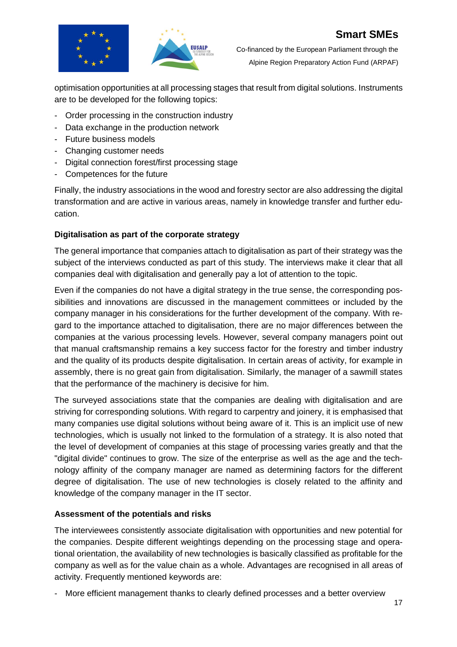



optimisation opportunities at all processing stages that result from digital solutions. Instruments are to be developed for the following topics:

- Order processing in the construction industry
- Data exchange in the production network
- Future business models
- Changing customer needs
- Digital connection forest/first processing stage
- Competences for the future

Finally, the industry associations in the wood and forestry sector are also addressing the digital transformation and are active in various areas, namely in knowledge transfer and further education.

#### **Digitalisation as part of the corporate strategy**

The general importance that companies attach to digitalisation as part of their strategy was the subject of the interviews conducted as part of this study. The interviews make it clear that all companies deal with digitalisation and generally pay a lot of attention to the topic.

Even if the companies do not have a digital strategy in the true sense, the corresponding possibilities and innovations are discussed in the management committees or included by the company manager in his considerations for the further development of the company. With regard to the importance attached to digitalisation, there are no major differences between the companies at the various processing levels. However, several company managers point out that manual craftsmanship remains a key success factor for the forestry and timber industry and the quality of its products despite digitalisation. In certain areas of activity, for example in assembly, there is no great gain from digitalisation. Similarly, the manager of a sawmill states that the performance of the machinery is decisive for him.

The surveyed associations state that the companies are dealing with digitalisation and are striving for corresponding solutions. With regard to carpentry and joinery, it is emphasised that many companies use digital solutions without being aware of it. This is an implicit use of new technologies, which is usually not linked to the formulation of a strategy. It is also noted that the level of development of companies at this stage of processing varies greatly and that the "digital divide" continues to grow. The size of the enterprise as well as the age and the technology affinity of the company manager are named as determining factors for the different degree of digitalisation. The use of new technologies is closely related to the affinity and knowledge of the company manager in the IT sector.

## **Assessment of the potentials and risks**

The interviewees consistently associate digitalisation with opportunities and new potential for the companies. Despite different weightings depending on the processing stage and operational orientation, the availability of new technologies is basically classified as profitable for the company as well as for the value chain as a whole. Advantages are recognised in all areas of activity. Frequently mentioned keywords are:

- More efficient management thanks to clearly defined processes and a better overview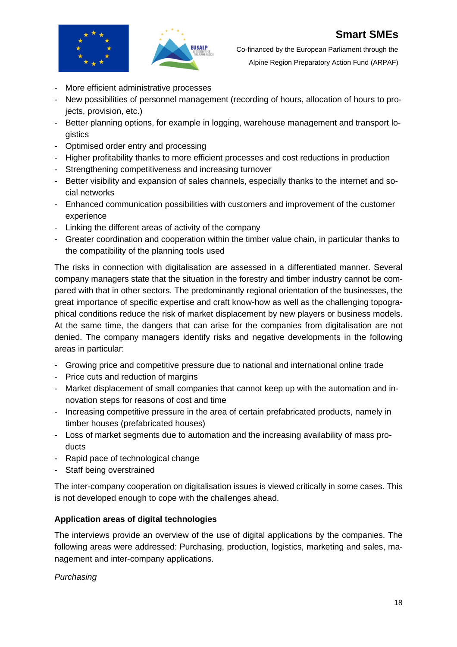



- More efficient administrative processes
- New possibilities of personnel management (recording of hours, allocation of hours to projects, provision, etc.)
- Better planning options, for example in logging, warehouse management and transport logistics
- Optimised order entry and processing
- Higher profitability thanks to more efficient processes and cost reductions in production
- Strengthening competitiveness and increasing turnover
- Better visibility and expansion of sales channels, especially thanks to the internet and social networks
- Enhanced communication possibilities with customers and improvement of the customer experience
- Linking the different areas of activity of the company
- Greater coordination and cooperation within the timber value chain, in particular thanks to the compatibility of the planning tools used

The risks in connection with digitalisation are assessed in a differentiated manner. Several company managers state that the situation in the forestry and timber industry cannot be compared with that in other sectors. The predominantly regional orientation of the businesses, the great importance of specific expertise and craft know-how as well as the challenging topographical conditions reduce the risk of market displacement by new players or business models. At the same time, the dangers that can arise for the companies from digitalisation are not denied. The company managers identify risks and negative developments in the following areas in particular:

- Growing price and competitive pressure due to national and international online trade
- Price cuts and reduction of margins
- Market displacement of small companies that cannot keep up with the automation and innovation steps for reasons of cost and time
- Increasing competitive pressure in the area of certain prefabricated products, namely in timber houses (prefabricated houses)
- Loss of market segments due to automation and the increasing availability of mass products
- Rapid pace of technological change
- Staff being overstrained

The inter-company cooperation on digitalisation issues is viewed critically in some cases. This is not developed enough to cope with the challenges ahead.

## **Application areas of digital technologies**

The interviews provide an overview of the use of digital applications by the companies. The following areas were addressed: Purchasing, production, logistics, marketing and sales, management and inter-company applications.

## *Purchasing*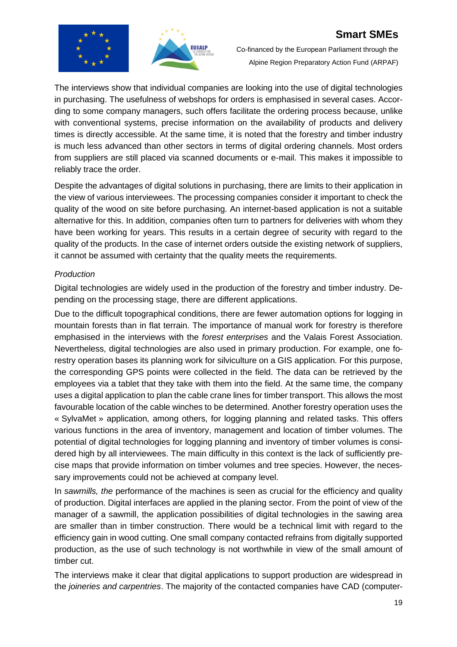



Co-financed by the European Parliament through the Alpine Region Preparatory Action Fund (ARPAF)

The interviews show that individual companies are looking into the use of digital technologies in purchasing. The usefulness of webshops for orders is emphasised in several cases. According to some company managers, such offers facilitate the ordering process because, unlike with conventional systems, precise information on the availability of products and delivery times is directly accessible. At the same time, it is noted that the forestry and timber industry is much less advanced than other sectors in terms of digital ordering channels. Most orders from suppliers are still placed via scanned documents or e-mail. This makes it impossible to reliably trace the order.

Despite the advantages of digital solutions in purchasing, there are limits to their application in the view of various interviewees. The processing companies consider it important to check the quality of the wood on site before purchasing. An internet-based application is not a suitable alternative for this. In addition, companies often turn to partners for deliveries with whom they have been working for years. This results in a certain degree of security with regard to the quality of the products. In the case of internet orders outside the existing network of suppliers, it cannot be assumed with certainty that the quality meets the requirements.

## *Production*

Digital technologies are widely used in the production of the forestry and timber industry. Depending on the processing stage, there are different applications.

Due to the difficult topographical conditions, there are fewer automation options for logging in mountain forests than in flat terrain. The importance of manual work for forestry is therefore emphasised in the interviews with the *forest enterprises* and the Valais Forest Association. Nevertheless, digital technologies are also used in primary production. For example, one forestry operation bases its planning work for silviculture on a GIS application. For this purpose, the corresponding GPS points were collected in the field. The data can be retrieved by the employees via a tablet that they take with them into the field. At the same time, the company uses a digital application to plan the cable crane lines for timber transport. This allows the most favourable location of the cable winches to be determined. Another forestry operation uses the « SylvaMet » application, among others, for logging planning and related tasks. This offers various functions in the area of inventory, management and location of timber volumes. The potential of digital technologies for logging planning and inventory of timber volumes is considered high by all interviewees. The main difficulty in this context is the lack of sufficiently precise maps that provide information on timber volumes and tree species. However, the necessary improvements could not be achieved at company level.

In *sawmills, the* performance of the machines is seen as crucial for the efficiency and quality of production. Digital interfaces are applied in the planing sector. From the point of view of the manager of a sawmill, the application possibilities of digital technologies in the sawing area are smaller than in timber construction. There would be a technical limit with regard to the efficiency gain in wood cutting. One small company contacted refrains from digitally supported production, as the use of such technology is not worthwhile in view of the small amount of timber cut.

The interviews make it clear that digital applications to support production are widespread in the *joineries and carpentries*. The majority of the contacted companies have CAD (computer-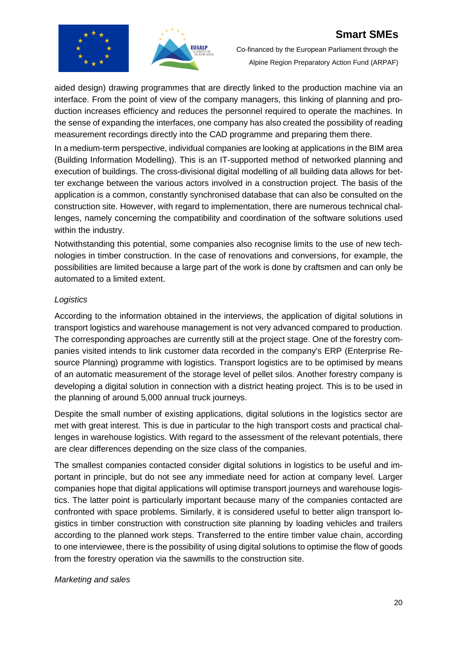



Co-financed by the European Parliament through the Alpine Region Preparatory Action Fund (ARPAF)

aided design) drawing programmes that are directly linked to the production machine via an interface. From the point of view of the company managers, this linking of planning and production increases efficiency and reduces the personnel required to operate the machines. In the sense of expanding the interfaces, one company has also created the possibility of reading measurement recordings directly into the CAD programme and preparing them there.

In a medium-term perspective, individual companies are looking at applications in the BIM area (Building Information Modelling). This is an IT-supported method of networked planning and execution of buildings. The cross-divisional digital modelling of all building data allows for better exchange between the various actors involved in a construction project. The basis of the application is a common, constantly synchronised database that can also be consulted on the construction site. However, with regard to implementation, there are numerous technical challenges, namely concerning the compatibility and coordination of the software solutions used within the industry.

Notwithstanding this potential, some companies also recognise limits to the use of new technologies in timber construction. In the case of renovations and conversions, for example, the possibilities are limited because a large part of the work is done by craftsmen and can only be automated to a limited extent.

#### *Logistics*

According to the information obtained in the interviews, the application of digital solutions in transport logistics and warehouse management is not very advanced compared to production. The corresponding approaches are currently still at the project stage. One of the forestry companies visited intends to link customer data recorded in the company's ERP (Enterprise Resource Planning) programme with logistics. Transport logistics are to be optimised by means of an automatic measurement of the storage level of pellet silos. Another forestry company is developing a digital solution in connection with a district heating project. This is to be used in the planning of around 5,000 annual truck journeys.

Despite the small number of existing applications, digital solutions in the logistics sector are met with great interest. This is due in particular to the high transport costs and practical challenges in warehouse logistics. With regard to the assessment of the relevant potentials, there are clear differences depending on the size class of the companies.

The smallest companies contacted consider digital solutions in logistics to be useful and important in principle, but do not see any immediate need for action at company level. Larger companies hope that digital applications will optimise transport journeys and warehouse logistics. The latter point is particularly important because many of the companies contacted are confronted with space problems. Similarly, it is considered useful to better align transport logistics in timber construction with construction site planning by loading vehicles and trailers according to the planned work steps. Transferred to the entire timber value chain, according to one interviewee, there is the possibility of using digital solutions to optimise the flow of goods from the forestry operation via the sawmills to the construction site.

#### *Marketing and sales*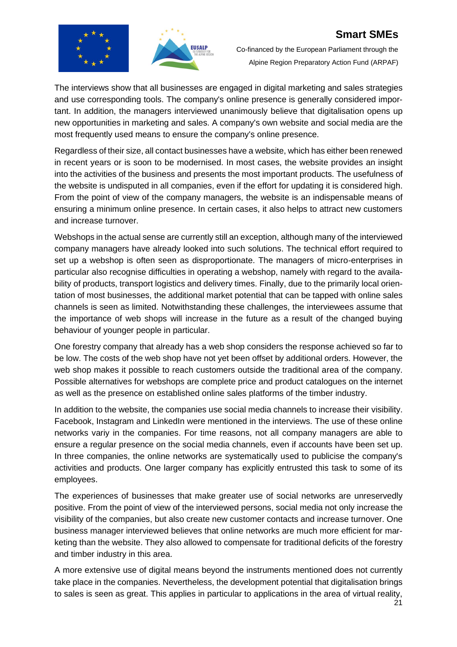



Co-financed by the European Parliament through the Alpine Region Preparatory Action Fund (ARPAF)

The interviews show that all businesses are engaged in digital marketing and sales strategies and use corresponding tools. The company's online presence is generally considered important. In addition, the managers interviewed unanimously believe that digitalisation opens up new opportunities in marketing and sales. A company's own website and social media are the most frequently used means to ensure the company's online presence.

Regardless of their size, all contact businesses have a website, which has either been renewed in recent years or is soon to be modernised. In most cases, the website provides an insight into the activities of the business and presents the most important products. The usefulness of the website is undisputed in all companies, even if the effort for updating it is considered high. From the point of view of the company managers, the website is an indispensable means of ensuring a minimum online presence. In certain cases, it also helps to attract new customers and increase turnover.

Webshops in the actual sense are currently still an exception, although many of the interviewed company managers have already looked into such solutions. The technical effort required to set up a webshop is often seen as disproportionate. The managers of micro-enterprises in particular also recognise difficulties in operating a webshop, namely with regard to the availability of products, transport logistics and delivery times. Finally, due to the primarily local orientation of most businesses, the additional market potential that can be tapped with online sales channels is seen as limited. Notwithstanding these challenges, the interviewees assume that the importance of web shops will increase in the future as a result of the changed buying behaviour of younger people in particular.

One forestry company that already has a web shop considers the response achieved so far to be low. The costs of the web shop have not yet been offset by additional orders. However, the web shop makes it possible to reach customers outside the traditional area of the company. Possible alternatives for webshops are complete price and product catalogues on the internet as well as the presence on established online sales platforms of the timber industry.

In addition to the website, the companies use social media channels to increase their visibility. Facebook, Instagram and LinkedIn were mentioned in the interviews. The use of these online networks variy in the companies. For time reasons, not all company managers are able to ensure a regular presence on the social media channels, even if accounts have been set up. In three companies, the online networks are systematically used to publicise the company's activities and products. One larger company has explicitly entrusted this task to some of its employees.

The experiences of businesses that make greater use of social networks are unreservedly positive. From the point of view of the interviewed persons, social media not only increase the visibility of the companies, but also create new customer contacts and increase turnover. One business manager interviewed believes that online networks are much more efficient for marketing than the website. They also allowed to compensate for traditional deficits of the forestry and timber industry in this area.

A more extensive use of digital means beyond the instruments mentioned does not currently take place in the companies. Nevertheless, the development potential that digitalisation brings to sales is seen as great. This applies in particular to applications in the area of virtual reality,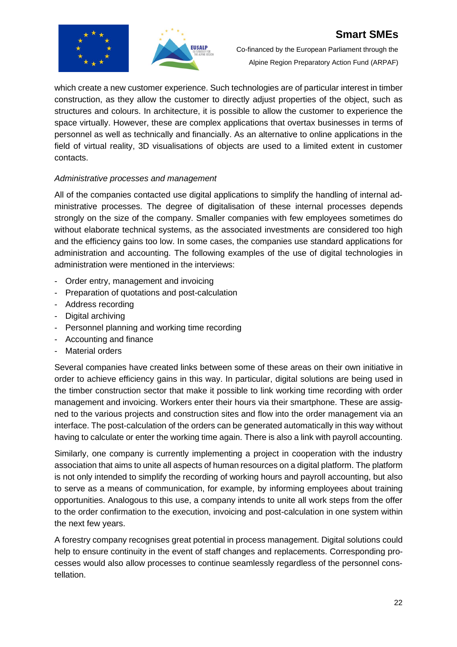



which create a new customer experience. Such technologies are of particular interest in timber construction, as they allow the customer to directly adjust properties of the object, such as structures and colours. In architecture, it is possible to allow the customer to experience the space virtually. However, these are complex applications that overtax businesses in terms of personnel as well as technically and financially. As an alternative to online applications in the field of virtual reality, 3D visualisations of objects are used to a limited extent in customer contacts.

#### *Administrative processes and management*

All of the companies contacted use digital applications to simplify the handling of internal administrative processes. The degree of digitalisation of these internal processes depends strongly on the size of the company. Smaller companies with few employees sometimes do without elaborate technical systems, as the associated investments are considered too high and the efficiency gains too low. In some cases, the companies use standard applications for administration and accounting. The following examples of the use of digital technologies in administration were mentioned in the interviews:

- Order entry, management and invoicing
- Preparation of quotations and post-calculation
- Address recording
- Digital archiving
- Personnel planning and working time recording
- Accounting and finance
- Material orders

Several companies have created links between some of these areas on their own initiative in order to achieve efficiency gains in this way. In particular, digital solutions are being used in the timber construction sector that make it possible to link working time recording with order management and invoicing. Workers enter their hours via their smartphone. These are assigned to the various projects and construction sites and flow into the order management via an interface. The post-calculation of the orders can be generated automatically in this way without having to calculate or enter the working time again. There is also a link with payroll accounting.

Similarly, one company is currently implementing a project in cooperation with the industry association that aims to unite all aspects of human resources on a digital platform. The platform is not only intended to simplify the recording of working hours and payroll accounting, but also to serve as a means of communication, for example, by informing employees about training opportunities. Analogous to this use, a company intends to unite all work steps from the offer to the order confirmation to the execution, invoicing and post-calculation in one system within the next few years.

A forestry company recognises great potential in process management. Digital solutions could help to ensure continuity in the event of staff changes and replacements. Corresponding processes would also allow processes to continue seamlessly regardless of the personnel constellation.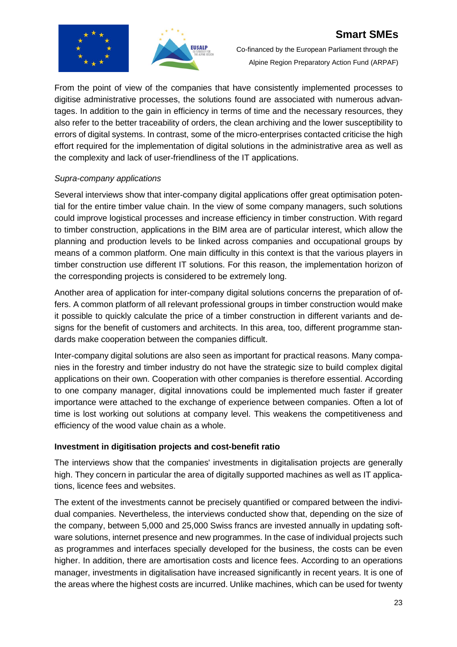



Co-financed by the European Parliament through the Alpine Region Preparatory Action Fund (ARPAF)

From the point of view of the companies that have consistently implemented processes to digitise administrative processes, the solutions found are associated with numerous advantages. In addition to the gain in efficiency in terms of time and the necessary resources, they also refer to the better traceability of orders, the clean archiving and the lower susceptibility to errors of digital systems. In contrast, some of the micro-enterprises contacted criticise the high effort required for the implementation of digital solutions in the administrative area as well as the complexity and lack of user-friendliness of the IT applications.

#### *Supra-company applications*

Several interviews show that inter-company digital applications offer great optimisation potential for the entire timber value chain. In the view of some company managers, such solutions could improve logistical processes and increase efficiency in timber construction. With regard to timber construction, applications in the BIM area are of particular interest, which allow the planning and production levels to be linked across companies and occupational groups by means of a common platform. One main difficulty in this context is that the various players in timber construction use different IT solutions. For this reason, the implementation horizon of the corresponding projects is considered to be extremely long.

Another area of application for inter-company digital solutions concerns the preparation of offers. A common platform of all relevant professional groups in timber construction would make it possible to quickly calculate the price of a timber construction in different variants and designs for the benefit of customers and architects. In this area, too, different programme standards make cooperation between the companies difficult.

Inter-company digital solutions are also seen as important for practical reasons. Many companies in the forestry and timber industry do not have the strategic size to build complex digital applications on their own. Cooperation with other companies is therefore essential. According to one company manager, digital innovations could be implemented much faster if greater importance were attached to the exchange of experience between companies. Often a lot of time is lost working out solutions at company level. This weakens the competitiveness and efficiency of the wood value chain as a whole.

## **Investment in digitisation projects and cost-benefit ratio**

The interviews show that the companies' investments in digitalisation projects are generally high. They concern in particular the area of digitally supported machines as well as IT applications, licence fees and websites.

The extent of the investments cannot be precisely quantified or compared between the individual companies. Nevertheless, the interviews conducted show that, depending on the size of the company, between 5,000 and 25,000 Swiss francs are invested annually in updating software solutions, internet presence and new programmes. In the case of individual projects such as programmes and interfaces specially developed for the business, the costs can be even higher. In addition, there are amortisation costs and licence fees. According to an operations manager, investments in digitalisation have increased significantly in recent years. It is one of the areas where the highest costs are incurred. Unlike machines, which can be used for twenty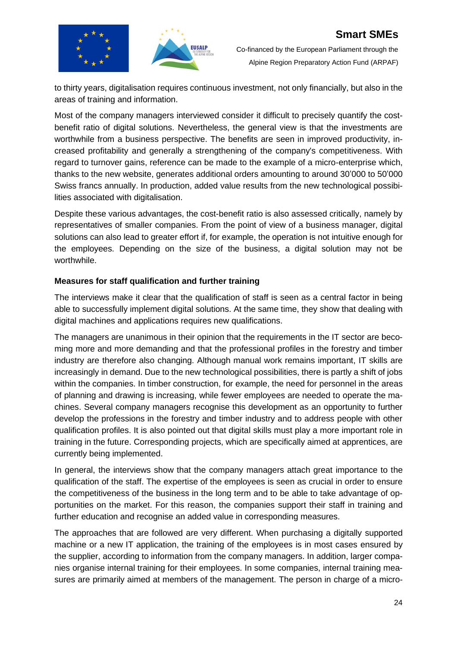

to thirty years, digitalisation requires continuous investment, not only financially, but also in the areas of training and information.

Most of the company managers interviewed consider it difficult to precisely quantify the costbenefit ratio of digital solutions. Nevertheless, the general view is that the investments are worthwhile from a business perspective. The benefits are seen in improved productivity, increased profitability and generally a strengthening of the company's competitiveness. With regard to turnover gains, reference can be made to the example of a micro-enterprise which, thanks to the new website, generates additional orders amounting to around 30'000 to 50'000 Swiss francs annually. In production, added value results from the new technological possibilities associated with digitalisation.

Despite these various advantages, the cost-benefit ratio is also assessed critically, namely by representatives of smaller companies. From the point of view of a business manager, digital solutions can also lead to greater effort if, for example, the operation is not intuitive enough for the employees. Depending on the size of the business, a digital solution may not be worthwhile.

#### **Measures for staff qualification and further training**

The interviews make it clear that the qualification of staff is seen as a central factor in being able to successfully implement digital solutions. At the same time, they show that dealing with digital machines and applications requires new qualifications.

The managers are unanimous in their opinion that the requirements in the IT sector are becoming more and more demanding and that the professional profiles in the forestry and timber industry are therefore also changing. Although manual work remains important, IT skills are increasingly in demand. Due to the new technological possibilities, there is partly a shift of jobs within the companies. In timber construction, for example, the need for personnel in the areas of planning and drawing is increasing, while fewer employees are needed to operate the machines. Several company managers recognise this development as an opportunity to further develop the professions in the forestry and timber industry and to address people with other qualification profiles. It is also pointed out that digital skills must play a more important role in training in the future. Corresponding projects, which are specifically aimed at apprentices, are currently being implemented.

In general, the interviews show that the company managers attach great importance to the qualification of the staff. The expertise of the employees is seen as crucial in order to ensure the competitiveness of the business in the long term and to be able to take advantage of opportunities on the market. For this reason, the companies support their staff in training and further education and recognise an added value in corresponding measures.

The approaches that are followed are very different. When purchasing a digitally supported machine or a new IT application, the training of the employees is in most cases ensured by the supplier, according to information from the company managers. In addition, larger companies organise internal training for their employees. In some companies, internal training measures are primarily aimed at members of the management. The person in charge of a micro-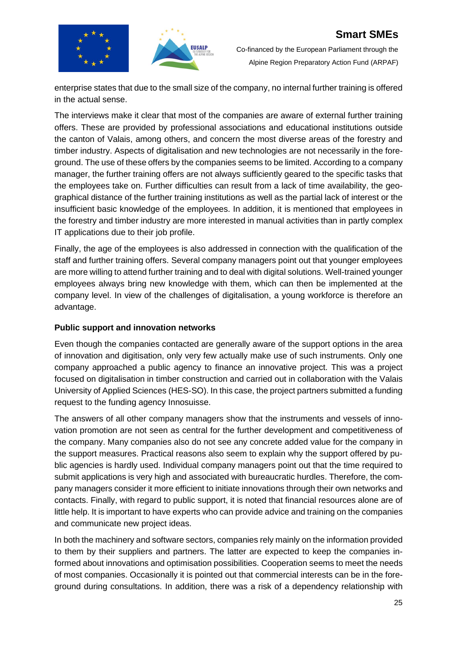



enterprise states that due to the small size of the company, no internal further training is offered in the actual sense.

The interviews make it clear that most of the companies are aware of external further training offers. These are provided by professional associations and educational institutions outside the canton of Valais, among others, and concern the most diverse areas of the forestry and timber industry. Aspects of digitalisation and new technologies are not necessarily in the foreground. The use of these offers by the companies seems to be limited. According to a company manager, the further training offers are not always sufficiently geared to the specific tasks that the employees take on. Further difficulties can result from a lack of time availability, the geographical distance of the further training institutions as well as the partial lack of interest or the insufficient basic knowledge of the employees. In addition, it is mentioned that employees in the forestry and timber industry are more interested in manual activities than in partly complex IT applications due to their job profile.

Finally, the age of the employees is also addressed in connection with the qualification of the staff and further training offers. Several company managers point out that younger employees are more willing to attend further training and to deal with digital solutions. Well-trained younger employees always bring new knowledge with them, which can then be implemented at the company level. In view of the challenges of digitalisation, a young workforce is therefore an advantage.

## **Public support and innovation networks**

Even though the companies contacted are generally aware of the support options in the area of innovation and digitisation, only very few actually make use of such instruments. Only one company approached a public agency to finance an innovative project. This was a project focused on digitalisation in timber construction and carried out in collaboration with the Valais University of Applied Sciences (HES-SO). In this case, the project partners submitted a funding request to the funding agency Innosuisse.

The answers of all other company managers show that the instruments and vessels of innovation promotion are not seen as central for the further development and competitiveness of the company. Many companies also do not see any concrete added value for the company in the support measures. Practical reasons also seem to explain why the support offered by public agencies is hardly used. Individual company managers point out that the time required to submit applications is very high and associated with bureaucratic hurdles. Therefore, the company managers consider it more efficient to initiate innovations through their own networks and contacts. Finally, with regard to public support, it is noted that financial resources alone are of little help. It is important to have experts who can provide advice and training on the companies and communicate new project ideas.

In both the machinery and software sectors, companies rely mainly on the information provided to them by their suppliers and partners. The latter are expected to keep the companies informed about innovations and optimisation possibilities. Cooperation seems to meet the needs of most companies. Occasionally it is pointed out that commercial interests can be in the foreground during consultations. In addition, there was a risk of a dependency relationship with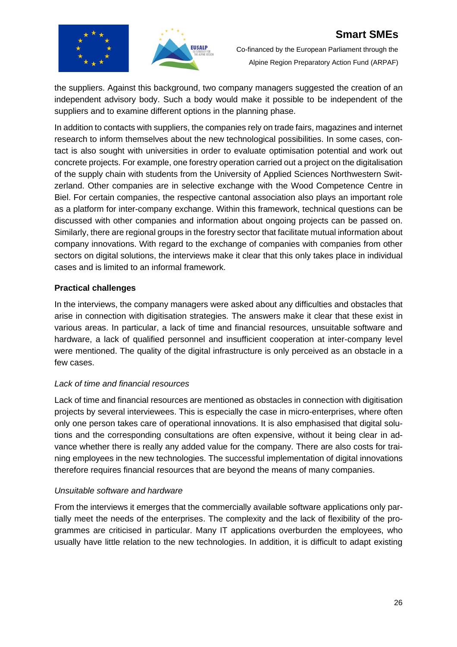



the suppliers. Against this background, two company managers suggested the creation of an independent advisory body. Such a body would make it possible to be independent of the suppliers and to examine different options in the planning phase.

In addition to contacts with suppliers, the companies rely on trade fairs, magazines and internet research to inform themselves about the new technological possibilities. In some cases, contact is also sought with universities in order to evaluate optimisation potential and work out concrete projects. For example, one forestry operation carried out a project on the digitalisation of the supply chain with students from the University of Applied Sciences Northwestern Switzerland. Other companies are in selective exchange with the Wood Competence Centre in Biel. For certain companies, the respective cantonal association also plays an important role as a platform for inter-company exchange. Within this framework, technical questions can be discussed with other companies and information about ongoing projects can be passed on. Similarly, there are regional groups in the forestry sector that facilitate mutual information about company innovations. With regard to the exchange of companies with companies from other sectors on digital solutions, the interviews make it clear that this only takes place in individual cases and is limited to an informal framework.

## **Practical challenges**

In the interviews, the company managers were asked about any difficulties and obstacles that arise in connection with digitisation strategies. The answers make it clear that these exist in various areas. In particular, a lack of time and financial resources, unsuitable software and hardware, a lack of qualified personnel and insufficient cooperation at inter-company level were mentioned. The quality of the digital infrastructure is only perceived as an obstacle in a few cases.

## *Lack of time and financial resources*

Lack of time and financial resources are mentioned as obstacles in connection with digitisation projects by several interviewees. This is especially the case in micro-enterprises, where often only one person takes care of operational innovations. It is also emphasised that digital solutions and the corresponding consultations are often expensive, without it being clear in advance whether there is really any added value for the company. There are also costs for training employees in the new technologies. The successful implementation of digital innovations therefore requires financial resources that are beyond the means of many companies.

## *Unsuitable software and hardware*

From the interviews it emerges that the commercially available software applications only partially meet the needs of the enterprises. The complexity and the lack of flexibility of the programmes are criticised in particular. Many IT applications overburden the employees, who usually have little relation to the new technologies. In addition, it is difficult to adapt existing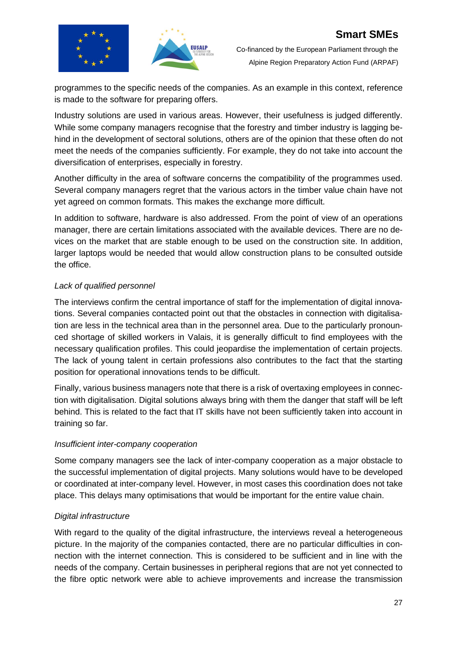



programmes to the specific needs of the companies. As an example in this context, reference is made to the software for preparing offers.

Industry solutions are used in various areas. However, their usefulness is judged differently. While some company managers recognise that the forestry and timber industry is lagging behind in the development of sectoral solutions, others are of the opinion that these often do not meet the needs of the companies sufficiently. For example, they do not take into account the diversification of enterprises, especially in forestry.

Another difficulty in the area of software concerns the compatibility of the programmes used. Several company managers regret that the various actors in the timber value chain have not yet agreed on common formats. This makes the exchange more difficult.

In addition to software, hardware is also addressed. From the point of view of an operations manager, there are certain limitations associated with the available devices. There are no devices on the market that are stable enough to be used on the construction site. In addition, larger laptops would be needed that would allow construction plans to be consulted outside the office.

## *Lack of qualified personnel*

The interviews confirm the central importance of staff for the implementation of digital innovations. Several companies contacted point out that the obstacles in connection with digitalisation are less in the technical area than in the personnel area. Due to the particularly pronounced shortage of skilled workers in Valais, it is generally difficult to find employees with the necessary qualification profiles. This could jeopardise the implementation of certain projects. The lack of young talent in certain professions also contributes to the fact that the starting position for operational innovations tends to be difficult.

Finally, various business managers note that there is a risk of overtaxing employees in connection with digitalisation. Digital solutions always bring with them the danger that staff will be left behind. This is related to the fact that IT skills have not been sufficiently taken into account in training so far.

## *Insufficient inter-company cooperation*

Some company managers see the lack of inter-company cooperation as a major obstacle to the successful implementation of digital projects. Many solutions would have to be developed or coordinated at inter-company level. However, in most cases this coordination does not take place. This delays many optimisations that would be important for the entire value chain.

## *Digital infrastructure*

With regard to the quality of the digital infrastructure, the interviews reveal a heterogeneous picture. In the majority of the companies contacted, there are no particular difficulties in connection with the internet connection. This is considered to be sufficient and in line with the needs of the company. Certain businesses in peripheral regions that are not yet connected to the fibre optic network were able to achieve improvements and increase the transmission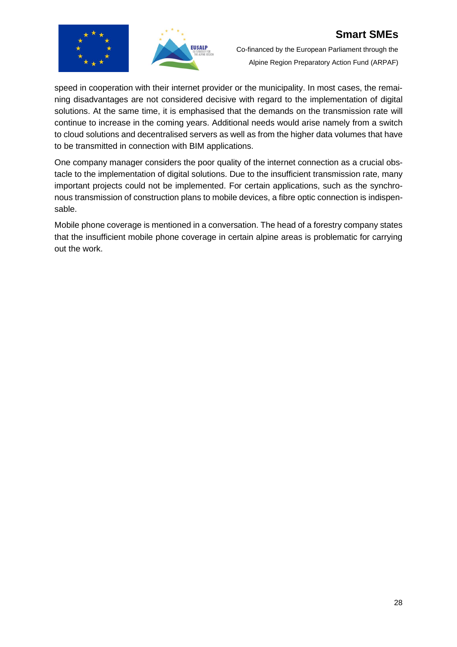



Co-financed by the European Parliament through the Alpine Region Preparatory Action Fund (ARPAF)

speed in cooperation with their internet provider or the municipality. In most cases, the remaining disadvantages are not considered decisive with regard to the implementation of digital solutions. At the same time, it is emphasised that the demands on the transmission rate will continue to increase in the coming years. Additional needs would arise namely from a switch to cloud solutions and decentralised servers as well as from the higher data volumes that have to be transmitted in connection with BIM applications.

One company manager considers the poor quality of the internet connection as a crucial obstacle to the implementation of digital solutions. Due to the insufficient transmission rate, many important projects could not be implemented. For certain applications, such as the synchronous transmission of construction plans to mobile devices, a fibre optic connection is indispensable.

Mobile phone coverage is mentioned in a conversation. The head of a forestry company states that the insufficient mobile phone coverage in certain alpine areas is problematic for carrying out the work.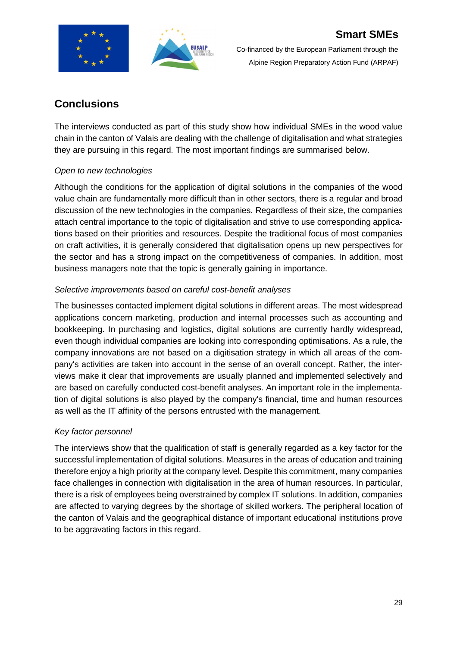



## **Conclusions**

The interviews conducted as part of this study show how individual SMEs in the wood value chain in the canton of Valais are dealing with the challenge of digitalisation and what strategies they are pursuing in this regard. The most important findings are summarised below.

## *Open to new technologies*

Although the conditions for the application of digital solutions in the companies of the wood value chain are fundamentally more difficult than in other sectors, there is a regular and broad discussion of the new technologies in the companies. Regardless of their size, the companies attach central importance to the topic of digitalisation and strive to use corresponding applications based on their priorities and resources. Despite the traditional focus of most companies on craft activities, it is generally considered that digitalisation opens up new perspectives for the sector and has a strong impact on the competitiveness of companies. In addition, most business managers note that the topic is generally gaining in importance.

## *Selective improvements based on careful cost-benefit analyses*

The businesses contacted implement digital solutions in different areas. The most widespread applications concern marketing, production and internal processes such as accounting and bookkeeping. In purchasing and logistics, digital solutions are currently hardly widespread, even though individual companies are looking into corresponding optimisations. As a rule, the company innovations are not based on a digitisation strategy in which all areas of the company's activities are taken into account in the sense of an overall concept. Rather, the interviews make it clear that improvements are usually planned and implemented selectively and are based on carefully conducted cost-benefit analyses. An important role in the implementation of digital solutions is also played by the company's financial, time and human resources as well as the IT affinity of the persons entrusted with the management.

## *Key factor personnel*

The interviews show that the qualification of staff is generally regarded as a key factor for the successful implementation of digital solutions. Measures in the areas of education and training therefore enjoy a high priority at the company level. Despite this commitment, many companies face challenges in connection with digitalisation in the area of human resources. In particular, there is a risk of employees being overstrained by complex IT solutions. In addition, companies are affected to varying degrees by the shortage of skilled workers. The peripheral location of the canton of Valais and the geographical distance of important educational institutions prove to be aggravating factors in this regard.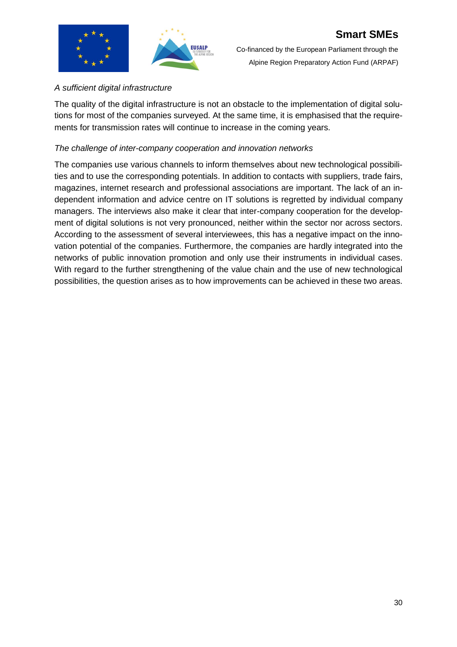## *A sufficient digital infrastructure*

The quality of the digital infrastructure is not an obstacle to the implementation of digital solutions for most of the companies surveyed. At the same time, it is emphasised that the requirements for transmission rates will continue to increase in the coming years.

## *The challenge of inter-company cooperation and innovation networks*

The companies use various channels to inform themselves about new technological possibilities and to use the corresponding potentials. In addition to contacts with suppliers, trade fairs, magazines, internet research and professional associations are important. The lack of an independent information and advice centre on IT solutions is regretted by individual company managers. The interviews also make it clear that inter-company cooperation for the development of digital solutions is not very pronounced, neither within the sector nor across sectors. According to the assessment of several interviewees, this has a negative impact on the innovation potential of the companies. Furthermore, the companies are hardly integrated into the networks of public innovation promotion and only use their instruments in individual cases. With regard to the further strengthening of the value chain and the use of new technological possibilities, the question arises as to how improvements can be achieved in these two areas.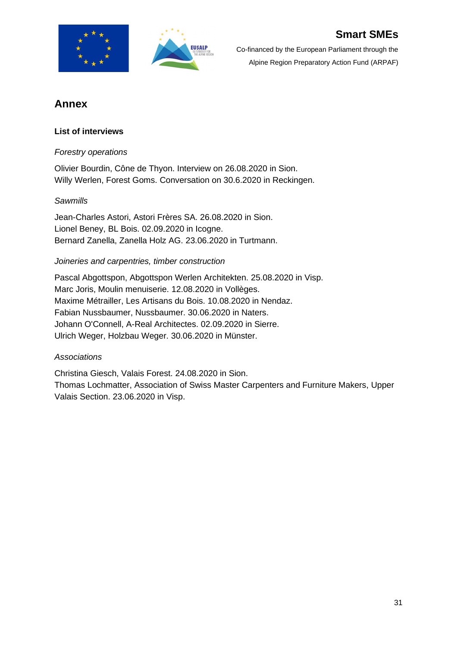



## **Annex**

## **List of interviews**

## *Forestry operations*

Olivier Bourdin, Cône de Thyon. Interview on 26.08.2020 in Sion. Willy Werlen, Forest Goms. Conversation on 30.6.2020 in Reckingen.

## *Sawmills*

Jean-Charles Astori, Astori Frères SA. 26.08.2020 in Sion. Lionel Beney, BL Bois. 02.09.2020 in Icogne. Bernard Zanella, Zanella Holz AG. 23.06.2020 in Turtmann.

## *Joineries and carpentries, timber construction*

Pascal Abgottspon, Abgottspon Werlen Architekten. 25.08.2020 in Visp. Marc Joris, Moulin menuiserie. 12.08.2020 in Vollèges. Maxime Métrailler, Les Artisans du Bois. 10.08.2020 in Nendaz. Fabian Nussbaumer, Nussbaumer. 30.06.2020 in Naters. Johann O'Connell, A-Real Architectes. 02.09.2020 in Sierre. Ulrich Weger, Holzbau Weger. 30.06.2020 in Münster.

## *Associations*

Christina Giesch, Valais Forest. 24.08.2020 in Sion. Thomas Lochmatter, Association of Swiss Master Carpenters and Furniture Makers, Upper Valais Section. 23.06.2020 in Visp.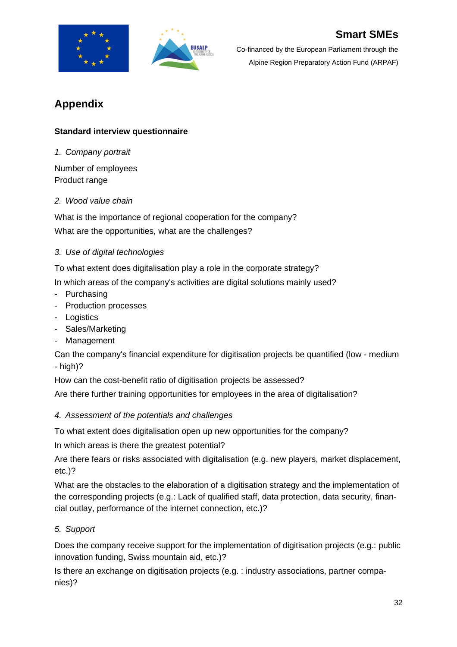



# **Appendix**

## **Standard interview questionnaire**

*1. Company portrait*

Number of employees Product range

## *2. Wood value chain*

What is the importance of regional cooperation for the company? What are the opportunities, what are the challenges?

## *3. Use of digital technologies*

To what extent does digitalisation play a role in the corporate strategy?

In which areas of the company's activities are digital solutions mainly used?

- Purchasing
- Production processes
- Logistics
- Sales/Marketing
- Management

Can the company's financial expenditure for digitisation projects be quantified (low - medium - high)?

How can the cost-benefit ratio of digitisation projects be assessed?

Are there further training opportunities for employees in the area of digitalisation?

## *4. Assessment of the potentials and challenges*

To what extent does digitalisation open up new opportunities for the company?

In which areas is there the greatest potential?

Are there fears or risks associated with digitalisation (e.g. new players, market displacement, etc.)?

What are the obstacles to the elaboration of a digitisation strategy and the implementation of the corresponding projects (e.g.: Lack of qualified staff, data protection, data security, financial outlay, performance of the internet connection, etc.)?

## *5. Support*

Does the company receive support for the implementation of digitisation projects (e.g.: public innovation funding, Swiss mountain aid, etc.)?

Is there an exchange on digitisation projects (e.g. : industry associations, partner companies)?